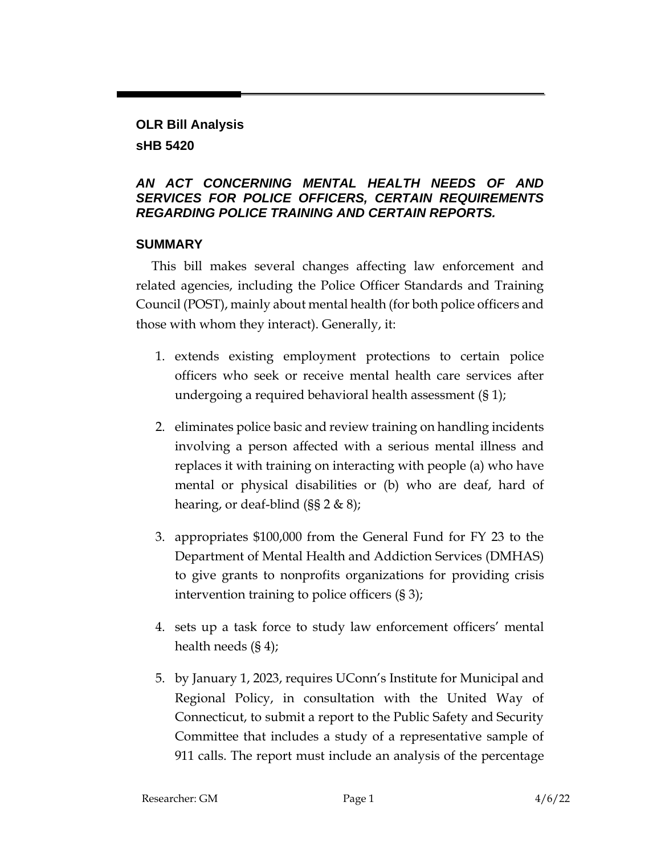# **OLR Bill Analysis**

### **sHB 5420**

### *AN ACT CONCERNING MENTAL HEALTH NEEDS OF AND SERVICES FOR POLICE OFFICERS, CERTAIN REQUIREMENTS REGARDING POLICE TRAINING AND CERTAIN REPORTS.*

### **SUMMARY**

This bill makes several changes affecting law enforcement and related agencies, including the Police Officer Standards and Training Council (POST), mainly about mental health (for both police officers and those with whom they interact). Generally, it:

- 1. extends existing employment protections to certain police officers who seek or receive mental health care services after undergoing a required behavioral health assessment (§ 1);
- 2. eliminates police basic and review training on handling incidents involving a person affected with a serious mental illness and replaces it with training on interacting with people (a) who have mental or physical disabilities or (b) who are deaf, hard of hearing, or deaf-blind (§§ 2 & 8);
- 3. appropriates \$100,000 from the General Fund for FY 23 to the Department of Mental Health and Addiction Services (DMHAS) to give grants to nonprofits organizations for providing crisis intervention training to police officers (§ 3);
- 4. sets up a task force to study law enforcement officers' mental health needs (§ 4);
- 5. by January 1, 2023, requires UConn's Institute for Municipal and Regional Policy, in consultation with the United Way of Connecticut, to submit a report to the Public Safety and Security Committee that includes a study of a representative sample of 911 calls. The report must include an analysis of the percentage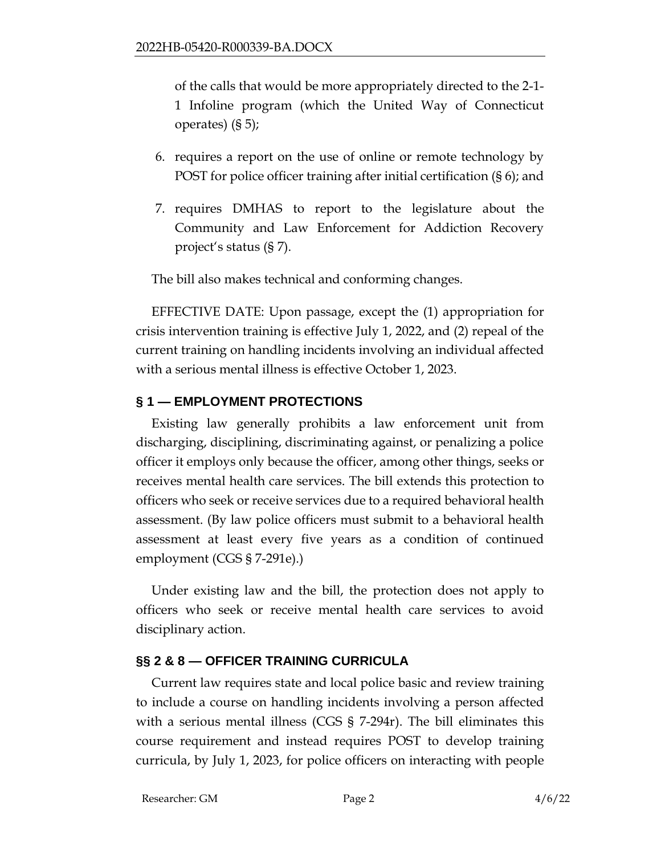of the calls that would be more appropriately directed to the 2-1- 1 Infoline program (which the United Way of Connecticut operates) (§ 5);

- 6. requires a report on the use of online or remote technology by POST for police officer training after initial certification (§ 6); and
- 7. requires DMHAS to report to the legislature about the Community and Law Enforcement for Addiction Recovery project's status (§ 7).

The bill also makes technical and conforming changes.

EFFECTIVE DATE: Upon passage, except the (1) appropriation for crisis intervention training is effective July 1, 2022, and (2) repeal of the current training on handling incidents involving an individual affected with a serious mental illness is effective October 1, 2023.

### **§ 1 — EMPLOYMENT PROTECTIONS**

Existing law generally prohibits a law enforcement unit from discharging, disciplining, discriminating against, or penalizing a police officer it employs only because the officer, among other things, seeks or receives mental health care services. The bill extends this protection to officers who seek or receive services due to a required behavioral health assessment. (By law police officers must submit to a behavioral health assessment at least every five years as a condition of continued employment (CGS § 7-291e).)

Under existing law and the bill, the protection does not apply to officers who seek or receive mental health care services to avoid disciplinary action.

# **§§ 2 & 8 — OFFICER TRAINING CURRICULA**

Current law requires state and local police basic and review training to include a course on handling incidents involving a person affected with a serious mental illness (CGS § 7-294r). The bill eliminates this course requirement and instead requires POST to develop training curricula, by July 1, 2023, for police officers on interacting with people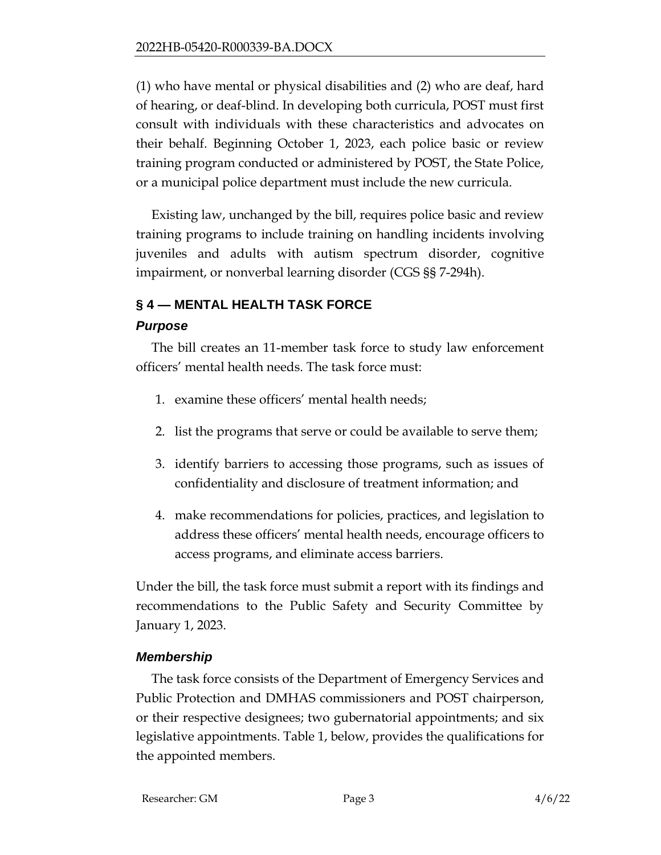(1) who have mental or physical disabilities and (2) who are deaf, hard of hearing, or deaf-blind. In developing both curricula, POST must first consult with individuals with these characteristics and advocates on their behalf. Beginning October 1, 2023, each police basic or review training program conducted or administered by POST, the State Police, or a municipal police department must include the new curricula.

Existing law, unchanged by the bill, requires police basic and review training programs to include training on handling incidents involving juveniles and adults with autism spectrum disorder, cognitive impairment, or nonverbal learning disorder (CGS §§ 7-294h).

# **§ 4 — MENTAL HEALTH TASK FORCE**

### *Purpose*

The bill creates an 11-member task force to study law enforcement officers' mental health needs. The task force must:

- 1. examine these officers' mental health needs;
- 2. list the programs that serve or could be available to serve them;
- 3. identify barriers to accessing those programs, such as issues of confidentiality and disclosure of treatment information; and
- 4. make recommendations for policies, practices, and legislation to address these officers' mental health needs, encourage officers to access programs, and eliminate access barriers.

Under the bill, the task force must submit a report with its findings and recommendations to the Public Safety and Security Committee by January 1, 2023.

# *Membership*

The task force consists of the Department of Emergency Services and Public Protection and DMHAS commissioners and POST chairperson, or their respective designees; two gubernatorial appointments; and six legislative appointments. Table 1, below, provides the qualifications for the appointed members.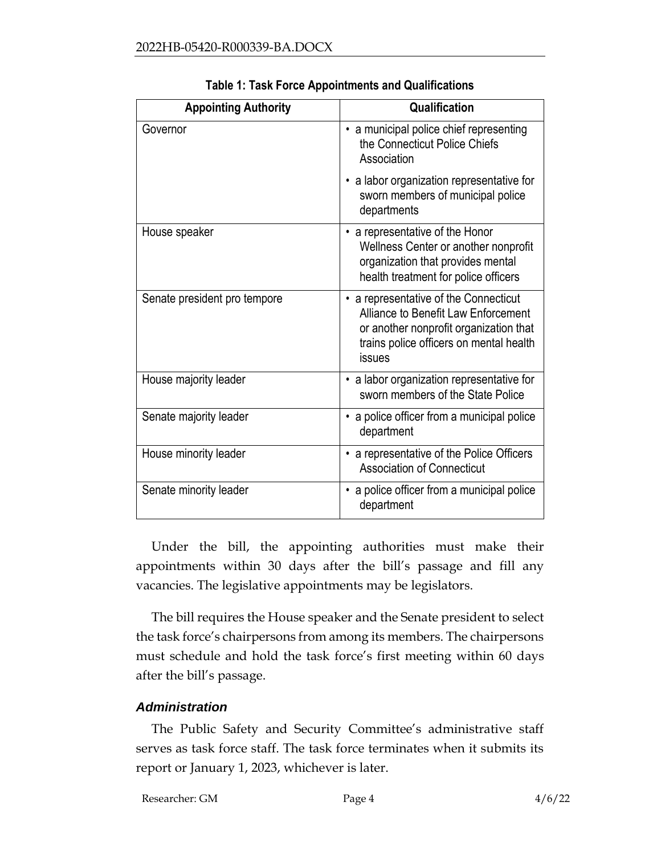| <b>Appointing Authority</b>  | Qualification                                                                                                                                                               |  |  |  |
|------------------------------|-----------------------------------------------------------------------------------------------------------------------------------------------------------------------------|--|--|--|
| Governor                     | • a municipal police chief representing<br>the Connecticut Police Chiefs<br>Association                                                                                     |  |  |  |
|                              | • a labor organization representative for<br>sworn members of municipal police<br>departments                                                                               |  |  |  |
| House speaker                | • a representative of the Honor<br>Wellness Center or another nonprofit<br>organization that provides mental<br>health treatment for police officers                        |  |  |  |
| Senate president pro tempore | • a representative of the Connecticut<br>Alliance to Benefit Law Enforcement<br>or another nonprofit organization that<br>trains police officers on mental health<br>issues |  |  |  |
| House majority leader        | • a labor organization representative for<br>sworn members of the State Police                                                                                              |  |  |  |
| Senate majority leader       | • a police officer from a municipal police<br>department                                                                                                                    |  |  |  |
| House minority leader        | • a representative of the Police Officers<br><b>Association of Connecticut</b>                                                                                              |  |  |  |
| Senate minority leader       | a police officer from a municipal police<br>department                                                                                                                      |  |  |  |

|  |  |  | Table 1: Task Force Appointments and Qualifications |
|--|--|--|-----------------------------------------------------|
|  |  |  |                                                     |

Under the bill, the appointing authorities must make their appointments within 30 days after the bill's passage and fill any vacancies. The legislative appointments may be legislators.

The bill requires the House speaker and the Senate president to select the task force's chairpersons from among its members. The chairpersons must schedule and hold the task force's first meeting within 60 days after the bill's passage.

### *Administration*

The Public Safety and Security Committee's administrative staff serves as task force staff. The task force terminates when it submits its report or January 1, 2023, whichever is later.

Researcher: GM Page 4 4/6/22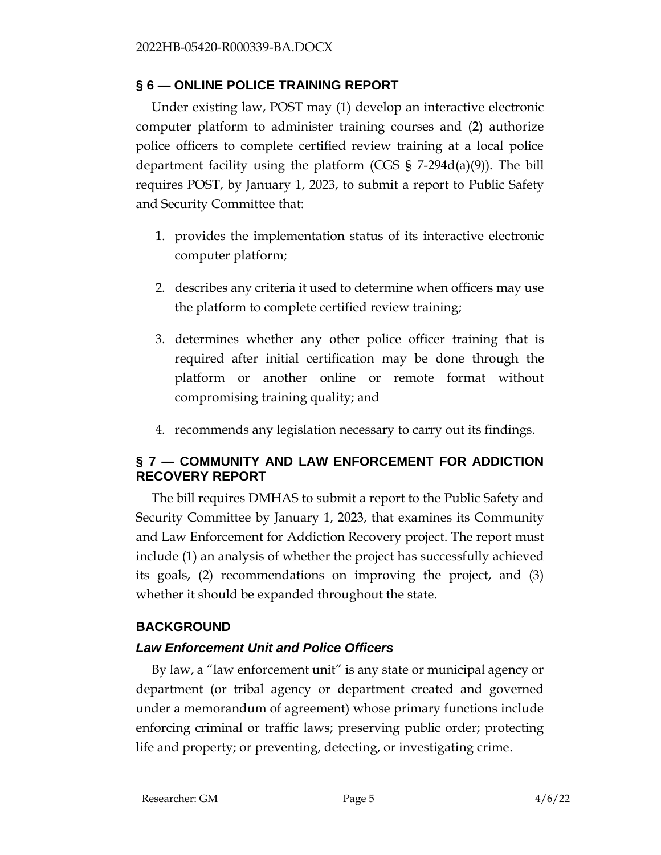# **§ 6 — ONLINE POLICE TRAINING REPORT**

Under existing law, POST may (1) develop an interactive electronic computer platform to administer training courses and (2) authorize police officers to complete certified review training at a local police department facility using the platform (CGS  $\S$  7-294d(a)(9)). The bill requires POST, by January 1, 2023, to submit a report to Public Safety and Security Committee that:

- 1. provides the implementation status of its interactive electronic computer platform;
- 2. describes any criteria it used to determine when officers may use the platform to complete certified review training;
- 3. determines whether any other police officer training that is required after initial certification may be done through the platform or another online or remote format without compromising training quality; and
- 4. recommends any legislation necessary to carry out its findings.

# **§ 7 — COMMUNITY AND LAW ENFORCEMENT FOR ADDICTION RECOVERY REPORT**

The bill requires DMHAS to submit a report to the Public Safety and Security Committee by January 1, 2023, that examines its Community and Law Enforcement for Addiction Recovery project. The report must include (1) an analysis of whether the project has successfully achieved its goals, (2) recommendations on improving the project, and (3) whether it should be expanded throughout the state.

# **BACKGROUND**

# *Law Enforcement Unit and Police Officers*

By law, a "law enforcement unit" is any state or municipal agency or department (or tribal agency or department created and governed under a memorandum of agreement) whose primary functions include enforcing criminal or traffic laws; preserving public order; protecting life and property; or preventing, detecting, or investigating crime.